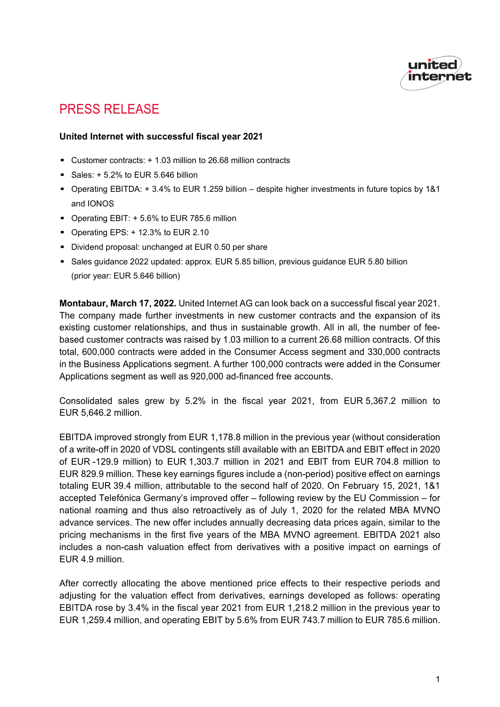

# PRESS RELEASE

## **United Internet with successful fiscal year 2021**

- Customer contracts: + 1.03 million to 26.68 million contracts
- Sales:  $+ 5.2%$  to EUR 5.646 billion
- Operating EBITDA: + 3.4% to EUR 1.259 billion despite higher investments in future topics by 1&1 and IONOS
- Operating EBIT: + 5.6% to EUR 785.6 million
- Operating EPS: +12.3% to EUR 2.10
- Dividend proposal: unchanged at EUR 0.50 per share
- Sales guidance 2022 updated: approx. EUR 5.85 billion, previous guidance EUR 5.80 billion (prior year: EUR 5.646 billion)

**Montabaur, March 17, 2022.** United Internet AG can look back on a successful fiscal year 2021. The company made further investments in new customer contracts and the expansion of its existing customer relationships, and thus in sustainable growth. All in all, the number of feebased customer contracts was raised by 1.03 million to a current 26.68 million contracts. Of this total, 600,000 contracts were added in the Consumer Access segment and 330,000 contracts in the Business Applications segment. A further 100,000 contracts were added in the Consumer Applications segment as well as 920,000 ad-financed free accounts.

Consolidated sales grew by 5.2% in the fiscal year 2021, from EUR 5,367.2 million to EUR 5,646.2 million.

EBITDA improved strongly from EUR 1,178.8 million in the previous year (without consideration of a write-off in 2020 of VDSL contingents still available with an EBITDA and EBIT effect in 2020 of EUR -129.9 million) to EUR 1,303.7 million in 2021 and EBIT from EUR 704.8 million to EUR 829.9 million. These key earnings figures include a (non-period) positive effect on earnings totaling EUR 39.4 million, attributable to the second half of 2020. On February 15, 2021, 1&1 accepted Telefónica Germany's improved offer – following review by the EU Commission – for national roaming and thus also retroactively as of July 1, 2020 for the related MBA MVNO advance services. The new offer includes annually decreasing data prices again, similar to the pricing mechanisms in the first five years of the MBA MVNO agreement. EBITDA 2021 also includes a non-cash valuation effect from derivatives with a positive impact on earnings of EUR 4.9 million.

After correctly allocating the above mentioned price effects to their respective periods and adjusting for the valuation effect from derivatives, earnings developed as follows: operating EBITDA rose by 3.4% in the fiscal year 2021 from EUR 1,218.2 million in the previous year to EUR 1,259.4 million, and operating EBIT by 5.6% from EUR 743.7 million to EUR 785.6 million.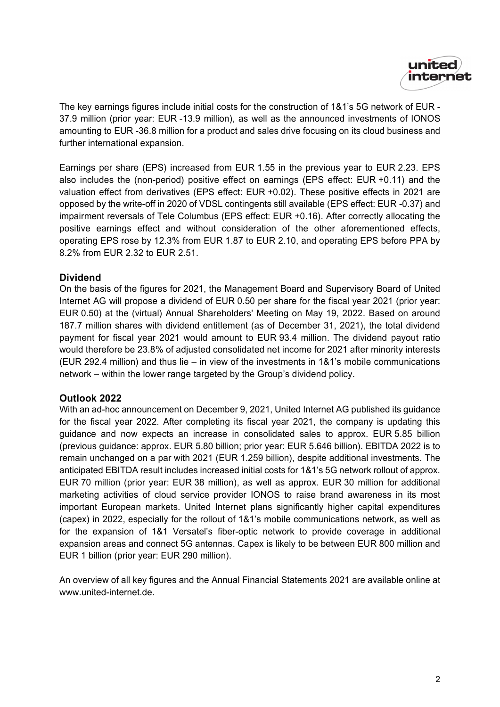

The key earnings figures include initial costs for the construction of 1&1's 5G network of EUR - 37.9 million (prior year: EUR -13.9 million), as well as the announced investments of IONOS amounting to EUR -36.8 million for a product and sales drive focusing on its cloud business and further international expansion.

Earnings per share (EPS) increased from EUR 1.55 in the previous year to EUR 2.23. EPS also includes the (non-period) positive effect on earnings (EPS effect: EUR +0.11) and the valuation effect from derivatives (EPS effect: EUR +0.02). These positive effects in 2021 are opposed by the write-off in 2020 of VDSL contingents still available (EPS effect: EUR -0.37) and impairment reversals of Tele Columbus (EPS effect: EUR +0.16). After correctly allocating the positive earnings effect and without consideration of the other aforementioned effects, operating EPS rose by 12.3% from EUR 1.87 to EUR 2.10, and operating EPS before PPA by 8.2% from EUR 2.32 to EUR 2.51.

## **Dividend**

On the basis of the figures for 2021, the Management Board and Supervisory Board of United Internet AG will propose a dividend of EUR 0.50 per share for the fiscal year 2021 (prior year: EUR 0.50) at the (virtual) Annual Shareholders' Meeting on May 19, 2022. Based on around 187.7 million shares with dividend entitlement (as of December 31, 2021), the total dividend payment for fiscal year 2021 would amount to EUR 93.4 million. The dividend payout ratio would therefore be 23.8% of adjusted consolidated net income for 2021 after minority interests (EUR 292.4 million) and thus lie – in view of the investments in 1&1's mobile communications network – within the lower range targeted by the Group's dividend policy.

## **Outlook 2022**

With an ad-hoc announcement on December 9, 2021, United Internet AG published its guidance for the fiscal year 2022. After completing its fiscal year 2021, the company is updating this guidance and now expects an increase in consolidated sales to approx. EUR 5.85 billion (previous guidance: approx. EUR 5.80 billion; prior year: EUR 5.646 billion). EBITDA 2022 is to remain unchanged on a par with 2021 (EUR 1.259 billion), despite additional investments. The anticipated EBITDA result includes increased initial costs for 1&1's 5G network rollout of approx. EUR 70 million (prior year: EUR 38 million), as well as approx. EUR 30 million for additional marketing activities of cloud service provider IONOS to raise brand awareness in its most important European markets. United Internet plans significantly higher capital expenditures (capex) in 2022, especially for the rollout of 1&1's mobile communications network, as well as for the expansion of 1&1 Versatel's fiber-optic network to provide coverage in additional expansion areas and connect 5G antennas. Capex is likely to be between EUR 800 million and EUR 1 billion (prior year: EUR 290 million).

An overview of all key figures and the Annual Financial Statements 2021 are available online at [www.united-internet.de.](http://www.united-internet.de/)